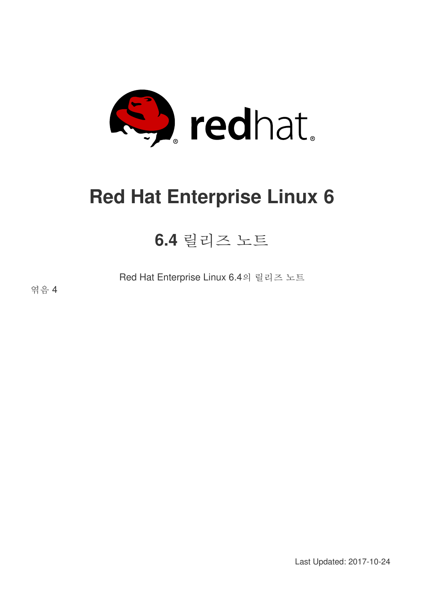

# **Red Hat Enterprise Linux 6**

# **6.4** 릴리즈 노트

Red Hat Enterprise Linux 6.4의 릴리즈 노트

엮음 4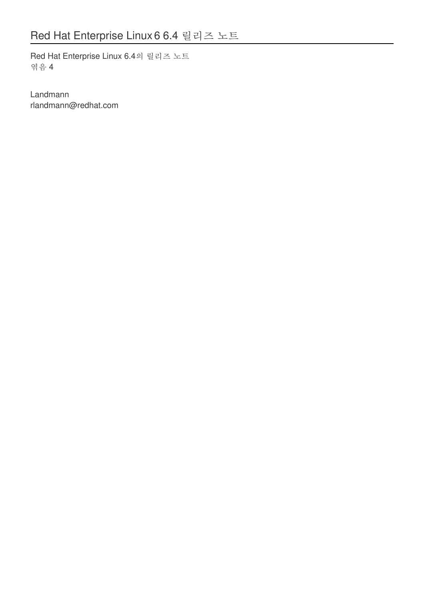Red Hat Enterprise Linux 6.4의 릴리즈 노트 엮음 4

Landmann rlandmann@redhat.com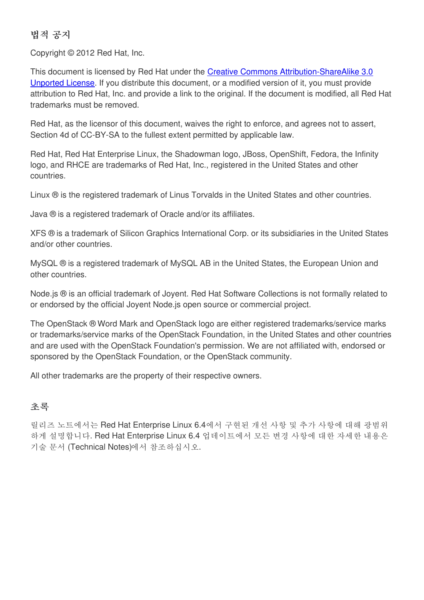### 법적 공지

Copyright © 2012 Red Hat, Inc.

This document is licensed by Red Hat under the Creative Commons [Attribution-ShareAlike](http://creativecommons.org/licenses/by-sa/3.0/) 3.0 Unported License. If you distribute this document, or a modified version of it, you must provide attribution to Red Hat, Inc. and provide a link to the original. If the document is modified, all Red Hat trademarks must be removed.

Red Hat, as the licensor of this document, waives the right to enforce, and agrees not to assert, Section 4d of CC-BY-SA to the fullest extent permitted by applicable law.

Red Hat, Red Hat Enterprise Linux, the Shadowman logo, JBoss, OpenShift, Fedora, the Infinity logo, and RHCE are trademarks of Red Hat, Inc., registered in the United States and other countries.

Linux ® is the registered trademark of Linus Torvalds in the United States and other countries.

Java ® is a registered trademark of Oracle and/or its affiliates.

XFS ® is a trademark of Silicon Graphics International Corp. or its subsidiaries in the United States and/or other countries.

MySQL ® is a registered trademark of MySQL AB in the United States, the European Union and other countries.

Node.js ® is an official trademark of Joyent. Red Hat Software Collections is not formally related to or endorsed by the official Joyent Node.js open source or commercial project.

The OpenStack ® Word Mark and OpenStack logo are either registered trademarks/service marks or trademarks/service marks of the OpenStack Foundation, in the United States and other countries and are used with the OpenStack Foundation's permission. We are not affiliated with, endorsed or sponsored by the OpenStack Foundation, or the OpenStack community.

All other trademarks are the property of their respective owners.

### 초록

릴리즈 노트에서는 Red Hat Enterprise Linux 6.4에서 구현된 개선 사항 및 추가 사항에 대해 광범위 하게 설명합니다. Red Hat Enterprise Linux 6.4 업데이트에서 모든 변경 사항에 대한 자세한 내용은 기술 문서 (Technical Notes)에서 참조하십시오.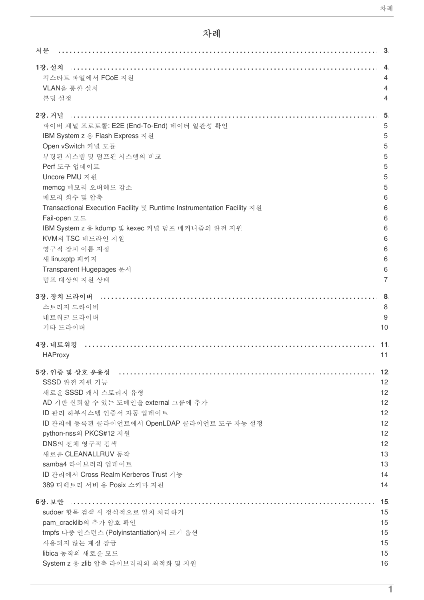# 차례

| 서문                                                                     | - 3            |
|------------------------------------------------------------------------|----------------|
| 1장. 설치                                                                 | 4              |
| 킥스타트 파일에서 FCoE 지원                                                      | 4              |
| VLAN을 통한 설치                                                            | 4              |
| 본딩 설정                                                                  | 4              |
| 2장. 커널                                                                 | 5              |
| 파이버 채널 프로토콜: E2E (End-To-End) 데이터 일관성 확인                               | 5              |
| IBM System z 용 Flash Express 지원                                        | 5              |
| Open vSwitch 커널 모듈                                                     | 5              |
| 부팅된 시스템 및 덤프된 시스템의 비교                                                  | 5              |
| Perf 도구 업데이트                                                           | 5              |
| Uncore PMU 지원                                                          | 5              |
| memcg 메모리 오버헤드 감소                                                      | 5              |
| 메모리 회수 및 압축                                                            | 6              |
| Transactional Execution Facility 및 Runtime Instrumentation Facility 지원 | 6              |
| Fail-open 모드                                                           | 6              |
| IBM System z 용 kdump 및 kexec 커널 덤프 메커니즘의 완전 지원                         | 6              |
| KVM의 TSC 데드라인 지원                                                       | 6              |
| 영구적 장치 이름 지정                                                           | 6              |
| 새 linuxptp 패키지                                                         | 6              |
| Transparent Hugepages 문서                                               | 6              |
| 덤프 대상의 지원 상태                                                           | $\overline{7}$ |
| 3장. 장치 드라이버                                                            | 8              |
| 스토리지 드라이버                                                              | 8              |
| 네트워크 드라이버                                                              | 9              |
| 기타 드라이버                                                                | 10             |
| 4장. 네트워킹                                                               | 11             |
| <b>HAProxy</b>                                                         | 11             |
|                                                                        | 12             |
| SSSD 완전 지원 기능                                                          | 12             |
| 새로운 SSSD 캐시 스토리지 유형                                                    | 12             |
| AD 기반 신뢰할 수 있는 도메인을 external 그룹에 추가                                    | 12             |
| ID 관리 하부시스템 인증서 자동 업데이트                                                | 12             |
| ID 관리에 등록된 클라이언트에서 OpenLDAP 클라이언트 도구 자동 설정                             | 12             |
| python-nss의 PKCS#12 지원                                                 | 12             |
| DNS의 전체 영구적 검색                                                         | 12             |
| 새로운 CLEANALLRUV 동작                                                     | 13             |
| samba4 라이브러리 업데이트                                                      | 13             |
| ID 관리에서 Cross Realm Kerberos Trust 기능                                  | 14             |
| 389 디렉토리 서버 용 Posix 스키마 지원                                             | 14             |
| 6장. 보안                                                                 | 15             |
| sudoer 항목 검색 시 정식적으로 일치 처리하기                                           | 15             |
| pam cracklib의 추가 암호 확인                                                 | 15             |
| tmpfs 다중 인스턴스 (Polyinstantiation)의 크기 옵션                               | 15             |
| 사용되지 않는 계정 잠금                                                          | 15             |
| libica 동작의 새로운 모드                                                      | 15             |
| System z 용 zlib 압축 라이브러리의 최적화 및 지원                                     | 16             |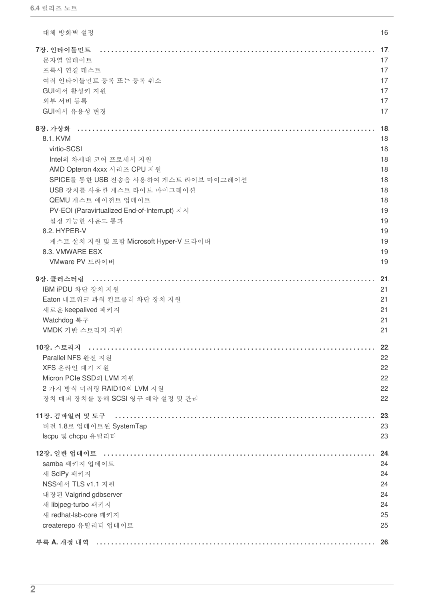| 대체 방화벽 설정                                    | 16 |
|----------------------------------------------|----|
| 7장. 인타이틀먼트                                   | 17 |
| 문자열 업데이트                                     | 17 |
| 프록시 연결 테스트                                   | 17 |
| 여러 인타이틀먼트 등록 또는 등록 취소                        | 17 |
| GUI에서 활성키 지원                                 | 17 |
| 외부 서버 등록                                     | 17 |
| GUI에서 유용성 변경                                 | 17 |
| 8장.가상화                                       | 18 |
| 8.1. KVM                                     | 18 |
| virtio-SCSI                                  | 18 |
| Intel의 차세대 코어 프로세서 지원                        | 18 |
| AMD Opteron 4xxx 시리즈 CPU 지원                  | 18 |
| SPICE를 통한 USB 전송을 사용하여 게스트 라이브 마이그레이션        | 18 |
| USB 장치를 사용한 게스트 라이브 마이그레이션                   | 18 |
| QEMU 게스트 에이전트 업데이트                           | 18 |
| PV-EOI (Paravirtualized End-of-Interrupt) 지시 | 19 |
| 설정 가능한 사운드 통과                                | 19 |
| 8.2. HYPER-V                                 | 19 |
| 게스트 설치 지원 및 포함 Microsoft Hyper-V 드라이버        | 19 |
| 8.3. VMWARE ESX                              | 19 |
| VMware PV 드라이버                               | 19 |
|                                              |    |
| 9장. 클러스터링                                    | 21 |
| IBM iPDU 차단 장치 지원                            | 21 |
| Eaton 네트워크 파워 컨트롤러 차단 장치 지원                  | 21 |
| 새로운 keepalived 패키지                           | 21 |
| Watchdog 복구                                  | 21 |
| VMDK 기반 스토리지 지원                              | 21 |
| 10장. 스토리지                                    | 22 |
| Parallel NFS 완전 지원                           | 22 |
| XFS 온라인 폐기 지원                                | 22 |
| Micron PCIe SSD의 LVM 지원                      | 22 |
| 2 가지 방식 미러링 RAID10의 LVM 지원                   | 22 |
| 장치 매퍼 장치를 통해 SCSI 영구 예약 설정 및 관리              | 22 |
|                                              |    |
|                                              | 23 |
| 버전 1.8로 업데이트된 SystemTap                      | 23 |
| Iscpu 및 chcpu 유틸리티                           | 23 |
| 12장. 일반 업데이트                                 | 24 |
| samba 패키지 업데이트                               | 24 |
| 새 SciPy 패키지                                  | 24 |
| NSS에서 TLS v1.1 지원                            | 24 |
| 내장된 Valgrind gdbserver                       | 24 |
| 새 libjpeg-turbo 패키지                          | 24 |
| 새 redhat-lsb-core 패키지                        | 25 |
| createrepo 유틸리티 업데이트                         | 25 |
|                                              |    |
|                                              | 26 |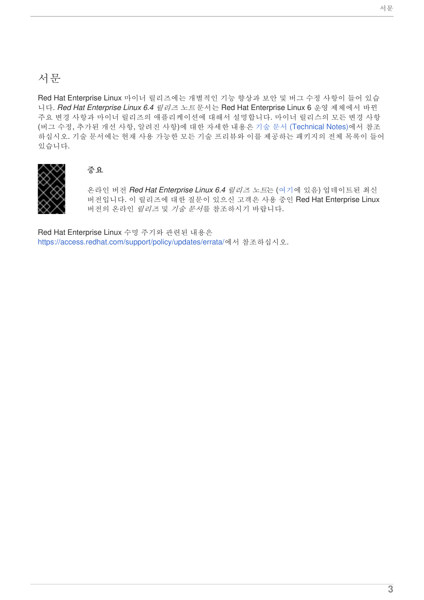# <span id="page-6-0"></span>서문

Red Hat Enterprise Linux 마이너 릴리즈에는 개별적인 기능 향상과 보안 및 버그 수정 사항이 들어 있습 니다. *Red Hat Enterprise Linux 6.4* 릴리즈 노트 문서는 Red Hat Enterprise Linux 6 운영 제체에서 바뀐 주요 변경 사항과 마이너 릴리즈의 애플리케이션에 대해서 설명합니다. 마이너 릴리스의 모든 변경 사항 (버그 수정, 추가된 개선 사항, 알려진 사항)에 대한 자세한 내용은 기술 문서 [\(Technical](https://access.redhat.com/knowledge/docs/en-US/Red_Hat_Enterprise_Linux/6/html-single/6.4_Technical_Notes/index.html) Notes)에서 참조 하십시오. 기술 문서에는 현재 사용 가능한 모든 기술 프리뷰와 이를 제공하는 패키지의 전체 목록이 들어 있습니다.



#### 중요

온라인 버전 *Red Hat Enterprise Linux 6.4* 릴리즈 노트는 ([여기](https://access.redhat.com/knowledge/docs/en-US/Red_Hat_Enterprise_Linux/6/html-single/6.4_Release_Notes/index.html)에 있음) 업데이트된 최신 버전입니다. 이 릴리즈에 대한 질문이 있으신 고객은 사용 중인 Red Hat Enterprise Linux 버전의 온라인 릴리즈 및 기술 문서를 참조하시기 바랍니다.

Red Hat Enterprise Linux 수명 주기와 관련된 내용은 <https://access.redhat.com/support/policy/updates/errata/>에서 참조하십시오.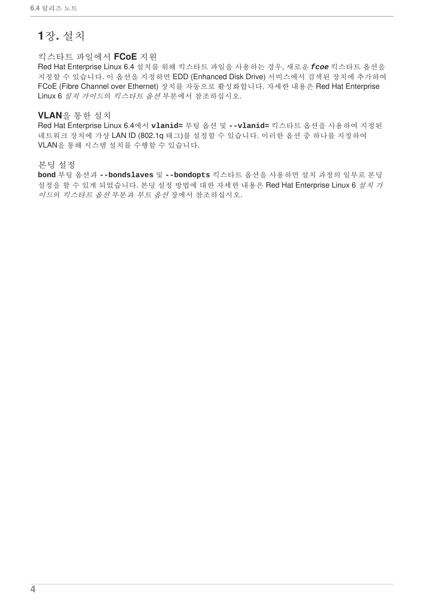# <span id="page-7-0"></span>**1**장**.** 설치

#### <span id="page-7-1"></span>킥스타트 파일에서 **FCoE** 지원

Red Hat Enterprise Linux 6.4 설치를 위해 킥스타트 파일을 사용하는 경우, 새로운 *fcoe* 킥스타트 옵션을 지정할 수 있습니다. 이 옵션을 지정하면 EDD (Enhanced Disk Drive) 서비스에서 검색된 장치에 추가하여 FCoE (Fibre Channel over Ethernet) 장치를 자동으로 활성화합니다. 자세한 내용은 Red Hat Enterprise Linux 6 설치 가이드의 킥스타트 옵션 부분에서 참조하십시오.

#### <span id="page-7-2"></span>**VLAN**을 통한 설치

Red Hat Enterprise Linux 6.4에서 **vlanid=** 부팅 옵션 및 **--vlanid=** 킥스타트 옵션을 사용하여 지정된 네트워크 장치에 가상 LAN ID (802.1q 태그)를 설정할 수 있습니다. 이러한 옵션 중 하나를 지정하여 VLAN을 통해 시스템 설치를 수행할 수 있습니다.

#### <span id="page-7-3"></span>본딩 설정

**bond** 부팅 옵션과 **--bondslaves** 및 **--bondopts** 킥스타트 옵션을 사용하면 설치 과정의 일부로 본딩 설정을 할 수 있게 되었습니다. 본딩 설정 방법에 대한 자세한 내용은 Red Hat Enterprise Linux 6 *설치 가* 이드의 킥스타트 옵션 부분과 부트 옵션 장에서 참조하십시오.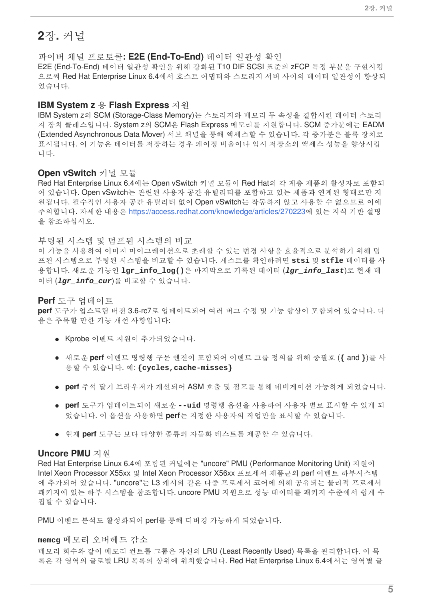## <span id="page-8-0"></span>**2**장**.** 커널

<span id="page-8-1"></span>파이버 채널 프로토콜**: E2E (End-To-End)** 데이터 일관성 확인

E2E (End-To-End) 데이터 일관성 확인을 위해 강화된 T10 DIF SCSI 표준의 zFCP 특정 부분을 구현시킴 으로써 Red Hat Enterprise Linux 6.4에서 호스트 어댑터와 스토리지 서버 사이의 데이터 일관성이 향상되 었습니다.

#### <span id="page-8-2"></span>**IBM System z** 용 **Flash Express** 지원

IBM System z의 SCM (Storage-Class Memory)는 스토리지와 메모리 두 속성을 결합시킨 데이터 스토리 지 장치 클래스입니다. System z의 SCM은 Flash Express 메모리를 지원합니다. SCM 증가분에는 EADM (Extended Asynchronous Data Mover) 서브 채널을 통해 액세스할 수 있습니다. 각 증가분은 블록 장치로 표시됩니다. 이 기능은 데이터를 저장하는 경우 페이징 비율이나 임시 저장소의 액세스 성능을 향상시킵 니다.

#### <span id="page-8-3"></span>**Open vSwitch** 커널 모듈

Red Hat Enterprise Linux 6.4에는 Open vSwitch 커널 모듈이 Red Hat의 각 계층 제품의 활성자로 포함되 어 있습니다. Open vSwitch는 관련된 사용자 공간 유틸리티를 포함하고 있는 제품과 연계된 형태로만 지 원됩니다. 필수적인 사용자 공간 유틸리티 없이 Open vSwitch는 작동하지 않고 사용할 수 없으므로 이에 주의합니다. 자세한 내용은 <https://access.redhat.com/knowledge/articles/270223>에 있는 지식 기반 설명 을 참조하십시오.

#### <span id="page-8-4"></span>부팅된 시스템 및 덤프된 시스템의 비교

이 기능을 사용하여 이미지 마이그레이션으로 초래할 수 있는 변경 사항을 효율적으로 분석하기 위해 덤 프된 시스템으로 부팅된 시스템을 비교할 수 있습니다. 게스트를 확인하려면 **stsi** 및 **stfle** 데이터를 사 용합니다. 새로운 기능인 **lgr\_info\_log()**은 마지막으로 기록된 데이터 (*lgr\_info\_last*)로 현재 데 이터 (*lgr\_info\_cur*)를 비교할 수 있습니다.

#### <span id="page-8-5"></span>**Perf** 도구 업데이트

**perf** 도구가 업스트림 버전 3.6-rc7로 업데이트되어 여러 버그 수정 및 기능 향상이 포함되어 있습니다. 다 음은 주목할 만한 기능 개선 사항입니다:

- Kprobe 이벤트 지원이 추가되었습니다.
- 새로운 **perf** 이벤트 명령행 구문 엔진이 포함되어 이벤트 그룹 정의를 위해 중괄호 (**{** and **}**)를 사 용할 수 있습니다. 예: **{cycles,cache-misses}**
- **perf** 주석 달기 브라우저가 개선되어 ASM 호출 및 점프를 통해 네비게이션 가능하게 되었습니다.
- **perf** 도구가 업데이트되어 새로운 **--uid** 명령행 옵션을 사용하여 사용자 별로 표시할 수 있게 되 었습니다. 이 옵션을 사용하면 **perf**는 지정한 사용자의 작업만을 표시할 수 있습니다.
- 현재 **perf** 도구는 보다 다양한 종류의 자동화 테스트를 제공할 수 있습니다.

#### <span id="page-8-6"></span>**Uncore PMU** 지원

Red Hat Enterprise Linux 6.4에 포함된 커널에는 "uncore" PMU (Performance Monitoring Unit) 지원이 Intel Xeon Processor X55xx 및 Intel Xeon Processor X56xx 프로세서 제품군의 perf 이벤트 하부시스템 에 추가되어 있습니다. "uncore"는 L3 캐시와 같은 다중 프로세서 코어에 의해 공유되는 물리적 프로세서 패키지에 있는 하부 시스템을 참조합니다. uncore PMU 지원으로 성능 데이터를 패키지 수준에서 쉽게 수 집할 수 있습니다.

PMU 이벤트 분석도 활성화되어 perf를 통해 디버깅 가능하게 되었습니다.

#### <span id="page-8-7"></span>**memcg** 메모리 오버헤드 감소

메모리 회수와 같이 메모리 컨트롤 그룹은 자신의 LRU (Least Recently Used) 목록을 관리합니다. 이 목 록은 각 영역의 글로벌 LRU 목록의 상위에 위치했습니다. Red Hat Enterprise Linux 6.4에서는 영역별 글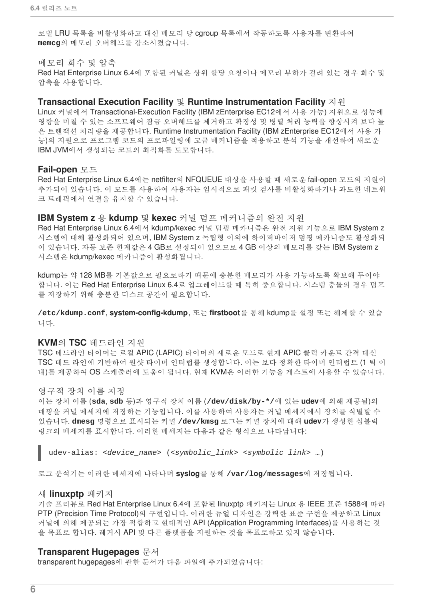로벌 LRU 목록을 비활성화하고 대신 메모리 당 cgroup 목록에서 작동하도록 사용자를 변환하여 **memcg**의 메모리 오버헤드를 감소시켰습니다.

#### <span id="page-9-0"></span>메모리 회수 및 압축

Red Hat Enterprise Linux 6.4에 포함된 커널은 상위 할당 요청이나 메모리 부하가 걸려 있는 경우 회수 및 압축을 사용합니다.

#### <span id="page-9-1"></span>**Transactional Execution Facility** 및 **Runtime Instrumentation Facility** 지원

Linux 커널에서 Transactional-Execution Facility (IBM zEnterprise EC12에서 사용 가능) 지원으로 성능에 영향을 미칠 수 있는 소프트웨어 잠금 오버헤드를 제거하고 확장성 및 병렬 처리 능력을 향상시켜 보다 높 은 트랜잭션 처리량을 제공합니다. Runtime Instrumentation Facility (IBM zEnterprise EC12에서 사용 가 능)의 지원으로 프로그램 코드의 프로파일링에 고급 메커니즘을 적용하고 분석 기능을 개선하여 새로운 IBM JVM에서 생성되는 코드의 최적화를 도모합니다.

#### <span id="page-9-2"></span>**Fail-open** 모드

Red Hat Enterprise Linux 6.4에는 netfilter의 NFQUEUE 대상을 사용할 때 새로운 fail-open 모드의 지원이 추가되어 있습니다. 이 모드를 사용하여 사용자는 임시적으로 패킷 검사를 비활성화하거나 과도한 네트워 크 트래픽에서 연결을 유지할 수 있습니다.

#### <span id="page-9-3"></span>**IBM System z** 용 **kdump** 및 **kexec** 커널 덤프 메커니즘의 완전 지원

Red Hat Enterprise Linux 6.4에서 kdump/kexec 커널 덤핑 메카니즘은 완전 지원 기능으로 IBM System z 시스템에 대해 활성화되어 있으며, IBM System z 독립형 이외에 하이퍼바이저 덤핑 메카니즘도 활성화되 어 있습니다. 자동 보존 한계값은 4 GB로 설정되어 있으므로 4 GB 이상의 메모리를 갖는 IBM System z 시스템은 kdump/kexec 메카니즘이 활성화됩니다.

kdump는 약 128 MB를 기본값으로 필요로하기 때문에 충분한 메모리가 사용 가능하도록 확보해 두어야 합니다. 이는 Red Hat Enterprise Linux 6.4로 업그레이드할 때 특히 중요합니다. 시스템 충돌의 경우 덤프 를 저장하기 위해 충분한 디스크 공간이 필요합니다.

**/etc/kdump.conf**, **system-config-kdump**, 또는 **firstboot**를 통해 kdump를 설정 또는 해제할 수 있습 니다.

#### <span id="page-9-4"></span>**KVM**의 **TSC** 데드라인 지원

TSC 데드라인 타이머는 로컬 APIC (LAPIC) 타이머의 새로운 모드로 현재 APIC 클럭 카운트 간격 대신 TSC 데드 라인에 기반하여 원샷 타이머 인터럽를 생성합니다. 이는 보다 정확한 타이머 인터럽트 (1 틱 이 내)를 제공하여 OS 스케줄러에 도움이 됩니다. 현재 KVM은 이러한 기능을 게스트에 사용할 수 있습니다.

#### <span id="page-9-5"></span>영구적 장치 이름 지정

이는 장치 이름 (**sda**, **sdb** 등)과 영구적 장치 이름 (**/dev/disk/by-\*/**에 있는 **udev**에 의해 제공됨)의 매핑을 커널 메세지에 저장하는 기능입니다. 이를 사용하여 사용자는 커널 메세지에서 장치를 식별할 수 있습니다. **dmesg** 명령으로 표시되는 커널 **/dev/kmsg** 로그는 커널 장치에 대해 **udev**가 생성한 심볼릭 링크의 메세지를 표시합니다. 이러한 메세지는 다음과 같은 형식으로 나타납니다:

udev-alias: *<device\_name>* (*<symbolic\_link> <symbolic link>* …)

로그 분석기는 이러한 메세지에 나타나며 **syslog**를 통해 **/var/log/messages**에 저장됩니다.

#### <span id="page-9-6"></span>새 **linuxptp** 패키지

기술 프리뷰로 Red Hat Enterprise Linux 6.4에 포함된 linuxptp 패키지는 Linux 용 IEEE 표준 1588에 따라 PTP (Precision Time Protocol)의 구현입니다. 이러한 듀얼 디자인은 강력한 표준 구현을 제공하고 Linux 커널에 의해 제공되는 가장 적합하고 현대적인 API (Application Programming Interfaces)를 사용하는 것 을 목표로 합니다. 레거시 API 및 다른 플랫폼을 지원하는 것을 목표로하고 있지 않습니다.

#### <span id="page-9-7"></span>**Transparent Hugepages** 문서

transparent hugepages에 관한 문서가 다음 파일에 추가되었습니다: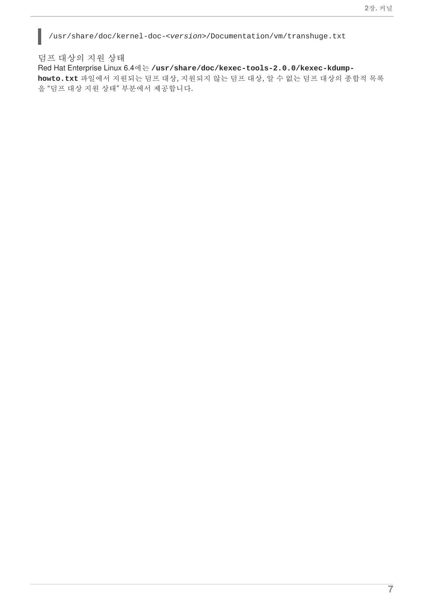/usr/share/doc/kernel-doc-*<version>*/Documentation/vm/transhuge.txt

ı

<span id="page-10-0"></span>덤프 대상의 지원 상태 Red Hat Enterprise Linux 6.4에는 **/usr/share/doc/kexec-tools-2.0.0/kexec-kdumphowto.txt** 파일에서 지원되는 덤프 대상, 지원되지 않는 덤프 대상, 알 수 없는 덤프 대상의 종합적 목록 을 "덤프 대상 지원 상태" 부분에서 제공합니다.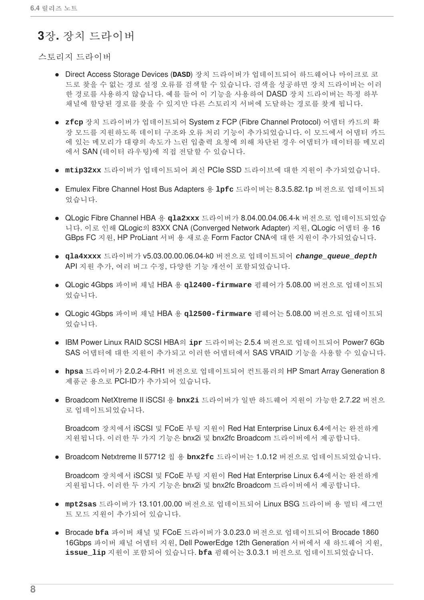### <span id="page-11-0"></span>**3**장**.** 장치 드라이버

<span id="page-11-1"></span>스토리지 드라이버

- Direct Access Storage Devices (**DASD**) 장치 드라이버가 업데이트되어 하드웨어나 마이크로 코 드로 찾을 수 없는 경로 설정 오류를 검색할 수 있습니다. 검색을 성공하면 장치 드라이버는 이러 한 경로를 사용하지 않습니다. 예를 들어 이 기능을 사용하여 DASD 장치 드라이버는 특정 하부 채널에 할당된 경로를 찾을 수 있지만 다른 스토리지 서버에 도달하는 경로를 찾게 됩니다.
- **zfcp** 장치 드라이버가 업데이트되어 System z FCP (Fibre Channel Protocol) 어댑터 카드의 확 장 모드를 지원하도록 데이터 구조와 오류 처리 기능이 추가되었습니다. 이 모드에서 어댑터 카드 에 있는 메모리가 대량의 속도가 느린 입출력 요청에 의해 차단된 경우 어댑터가 데이터를 메모리 에서 SAN (데이터 라우팅)에 직접 전달할 수 있습니다.
- **mtip32xx** 드라이버가 업데이트되어 최신 PCIe SSD 드라이브에 대한 지원이 추가되었습니다.
- Emulex Fibre Channel Host Bus Adapters 용 **lpfc** 드라이버는 8.3.5.82.1p 버전으로 업데이트되 었습니다.
- QLogic Fibre Channel HBA 용 **qla2xxx** 드라이버가 8.04.00.04.06.4-k 버전으로 업데이트되었습 니다. 이로 인해 QLogic의 83XX CNA (Converged Network Adapter) 지원, QLogic 어댑터 용 16 GBps FC 지원, HP ProLiant 서버 용 새로운 Form Factor CNA에 대한 지원이 추가되었습니다.
- **qla4xxxx** 드라이버가 v5.03.00.00.06.04-k0 버전으로 업데이트되어 *change\_queue\_depth* API 지원 추가, 여러 버그 수정, 다양한 기능 개선이 포함되었습니다.
- QLogic 4Gbps 파이버 채널 HBA 용 **ql2400-firmware** 펌웨어가 5.08.00 버전으로 업데이트되 었습니다.
- QLogic 4Gbps 파이버 채널 HBA 용 **ql2500-firmware** 펌웨어는 5.08.00 버전으로 업데이트되 었습니다.
- IBM Power Linux RAID SCSI HBA의 **ipr** 드라이버는 2.5.4 버전으로 업데이트되어 Power7 6Gb SAS 어댑터에 대한 지원이 추가되고 이러한 어댑터에서 SAS VRAID 기능을 사용할 수 있습니다.
- **hpsa** 드라이버가 2.0.2-4-RH1 버전으로 업데이트되어 컨트롤러의 HP Smart Array Generation 8 제품군 용으로 PCI-ID가 추가되어 있습니다.
- Broadcom NetXtreme II iSCSI 용 **bnx2i** 드라이버가 일반 하드웨어 지원이 가능한 2.7.22 버전으 로 업데이트되었습니다.

Broadcom 장치에서 iSCSI 및 FCoE 부팅 지원이 Red Hat Enterprise Linux 6.4에서는 완전하게 지원됩니다. 이러한 두 가지 기능은 bnx2i 및 bnx2fc Broadcom 드라이버에서 제공합니다.

Broadcom Netxtreme II 57712 칩 용 **bnx2fc** 드라이버는 1.0.12 버전으로 업데이트되었습니다.

Broadcom 장치에서 iSCSI 및 FCoE 부팅 지원이 Red Hat Enterprise Linux 6.4에서는 완전하게 지원됩니다. 이러한 두 가지 기능은 bnx2i 및 bnx2fc Broadcom 드라이버에서 제공합니다.

- **mpt2sas** 드라이버가 13.101.00.00 버전으로 업데이트되어 Linux BSG 드라이버 용 멀티 세그먼 트 모드 지원이 추가되어 있습니다.
- Brocade **bfa** 파이버 채널 및 FCoE 드라이버가 3.0.23.0 버전으로 업데이트되어 Brocade 1860 16Gbps 파이버 채널 어댑터 지원, Dell PowerEdge 12th Generation 서버에서 새 하드웨어 지원, **issue\_lip** 지원이 포함되어 있습니다. **bfa** 펌웨어는 3.0.3.1 버전으로 업데이트되었습니다.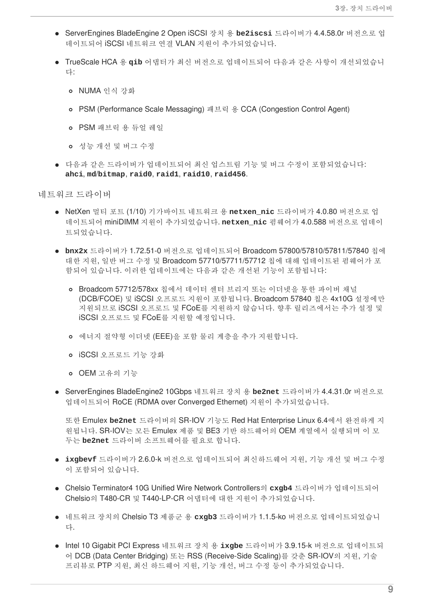- ServerEngines BladeEngine 2 Open iSCSI 장치 용 **be2iscsi** 드라이버가 4.4.58.0r 버전으로 업 데이트되어 iSCSI 네트워크 연결 VLAN 지원이 추가되었습니다.
- TrueScale HCA 용 **qib** 어댑터가 최신 버전으로 업데이트되어 다음과 같은 사항이 개선되었습니 다:
	- o NUMA 인식 강화
	- PSM (Performance Scale Messaging) 패브릭 용 CCA (Congestion Control Agent)
	- PSM 패브릭 용 듀얼 레일
	- 성능 개선 및 버그 수정
- 다음과 같은 드라이버가 업데이트되어 최신 업스트림 기능 및 버그 수정이 포함되었습니다: **ahci**, **md**/**bitmap**, **raid0**, **raid1**, **raid10**, **raid456**.

<span id="page-12-0"></span>네트워크 드라이버

- NetXen 멀티 포트 (1/10) 기가바이트 네트워크 용 **netxen\_nic** 드라이버가 4.0.80 버전으로 업 데이트되어 miniDIMM 지원이 추가되었습니다. **netxen\_nic** 펌웨어가 4.0.588 버전으로 업데이 트되었습니다.
- **bnx2x** 드라이버가 1.72.51-0 버전으로 업데이트되어 Broadcom 57800/57810/57811/57840 칩에 대한 지원, 일반 버그 수정 및 Broadcom 57710/57711/57712 칩에 대해 업데이트된 펌웨어가 포 함되어 있습니다. 이러한 업데이트에는 다음과 같은 개선된 기능이 포함됩니다:
	- Broadcom 57712/578xx 칩에서 데이터 센터 브리지 또는 이더넷을 통한 파이버 채널 (DCB/FCOE) 및 iSCSI 오프로드 지원이 포함됩니다. Broadcom 57840 칩은 4x10G 설정에만 지원되므로 iSCSI 오프로드 및 FCoE를 지원하지 않습니다. 향후 릴리즈에서는 추가 설정 및 iSCSI 오프로드 및 FCoE를 지원할 예정입니다.
	- 에너지 절약형 이더넷 (EEE)을 포함 물리 계층을 추가 지원합니다.
	- iSCSI 오프로드 기능 강화
	- OEM 고유의 기능
- ServerEngines BladeEngine2 10Gbps 네트워크 장치 용 **be2net** 드라이버가 4.4.31.0r 버전으로 업데이트되어 RoCE (RDMA over Converged Ethernet) 지원이 추가되었습니다.

또한 Emulex **be2net** 드라이버의 SR-IOV 기능도 Red Hat Enterprise Linux 6.4에서 완전하게 지 원됩니다. SR-IOV는 모든 Emulex 제품 및 BE3 기반 하드웨어의 OEM 계열에서 실행되며 이 모 두는 **be2net** 드라이버 소프트웨어를 필요로 합니다.

- **ixgbevf** 드라이버가 2.6.0-k 버전으로 업데이트되어 최신하드웨어 지원, 기능 개선 및 버그 수정 이 포함되어 있습니다.
- Chelsio Terminator4 10G Unified Wire Network Controllers의 **cxgb4** 드라이버가 업데이트되어 Chelsio의 T480-CR 및 T440-LP-CR 어댑터에 대한 지원이 추가되었습니다.
- 네트워크 장치의 Chelsio T3 제품군 용 **cxgb3** 드라이버가 1.1.5-ko 버전으로 업데이트되었습니 다.
- Intel 10 Gigabit PCI Express 네트워크 장치 용 **ixgbe** 드라이버가 3.9.15-k 버전으로 업데이트되 어 DCB (Data Center Bridging) 또는 RSS (Receive-Side Scaling)를 갖춘 SR-IOV의 지원, 기술 프리뷰로 PTP 지원, 최신 하드웨어 지원, 기능 개선, 버그 수정 등이 추가되었습니다.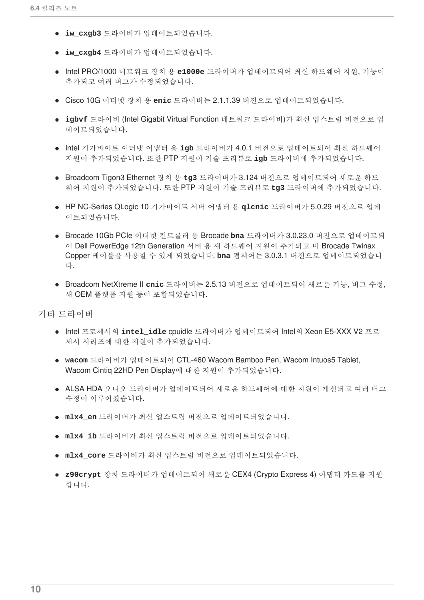- **iw\_cxgb3** 드라이버가 업데이트되었습니다.
- **iw\_cxgb4** 드라이버가 업데이트되었습니다.
- Intel PRO/1000 네트워크 장치 용 **e1000e** 드라이버가 업데이트되어 최신 하드웨어 지원, 기능이 추가되고 여러 버그가 수정되었습니다.
- Cisco 10G 이더넷 장치 용 **enic** 드라이버는 2.1.1.39 버전으로 업데이트되었습니다.
- **igbvf** 드라이버 (Intel Gigabit Virtual Function 네트워크 드라이버)가 최신 업스트림 버전으로 업 데이트되었습니다.
- Intel 기가바이트 이더넷 어댑터 용 igb 드라이버가 4.0.1 버전으로 업데이트되어 최신 하드웨어 지원이 추가되었습니다. 또한 PTP 지원이 기술 프리뷰로 **igb** 드라이버에 추가되었습니다.
- Broadcom Tigon3 Ethernet 장치 용 **tg3** 드라이버가 3.124 버전으로 업데이트되어 새로운 하드 웨어 지원이 추가되었습니다. 또한 PTP 지원이 기술 프리뷰로 **tg3** 드라이버에 추가되었습니다.
- HP NC-Series QLogic 10 기가바이트 서버 어댑터 용 **qlcnic** 드라이버가 5.0.29 버전으로 업데 이트되었습니다.
- Brocade 10Gb PCIe 이더넷 컨트롤러 용 Brocade **bna** 드라이버가 3.0.23.0 버전으로 업데이트되 어 Dell PowerEdge 12th Generation 서버 용 새 하드웨어 지원이 추가되고 비 Brocade Twinax Copper 케이블을 사용할 수 있게 되었습니다. **bna** 펌웨어는 3.0.3.1 버전으로 업데이트되었습니 다.
- Broadcom NetXtreme II **cnic** 드라이버는 2.5.13 버전으로 업데이트되어 새로운 기능, 버그 수정, 새 OEM 플랫폼 지원 등이 포함되었습니다.

<span id="page-13-0"></span>기타 드라이버

- Intel 프로세서의 **intel\_idle** cpuidle 드라이버가 업데이트되어 Intel의 Xeon E5-XXX V2 프로 세서 시리즈에 대한 지원이 추가되었습니다.
- **wacom** 드라이버가 업데이트되어 CTL-460 Wacom Bamboo Pen, Wacom Intuos5 Tablet, Wacom Cintiq 22HD Pen Display에 대한 지원이 추가되었습니다.
- ALSA HDA 오디오 드라이버가 업데이트되어 새로운 하드웨어에 대한 지원이 개선되고 여러 버그 수정이 이루어졌습니다.
- **mlx4\_en** 드라이버가 최신 업스트림 버전으로 업데이트되었습니다.
- **mlx4\_ib** 드라이버가 최신 업스트림 버전으로 업데이트되었습니다.
- **mlx4\_core** 드라이버가 최신 업스트림 버전으로 업데이트되었습니다.
- **z90crypt** 장치 드라이버가 업데이트되어 새로운 CEX4 (Crypto Express 4) 어댑터 카드를 지원 합니다.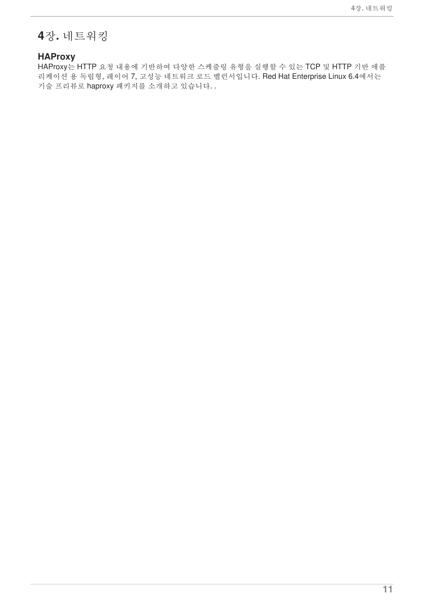# <span id="page-14-0"></span>**4**장**.** 네트워킹

### <span id="page-14-1"></span>**HAProxy**

HAProxy는 HTTP 요청 내용에 기반하여 다양한 스케줄링 유형을 실행할 수 있는 TCP 및 HTTP 기반 애플 리케이션 용 독립형, 레이어 7, 고성능 네트워크 로드 밸런서입니다. Red Hat Enterprise Linux 6.4에서는 기술 프리뷰로 haproxy 패키지를 소개하고 있습니다. .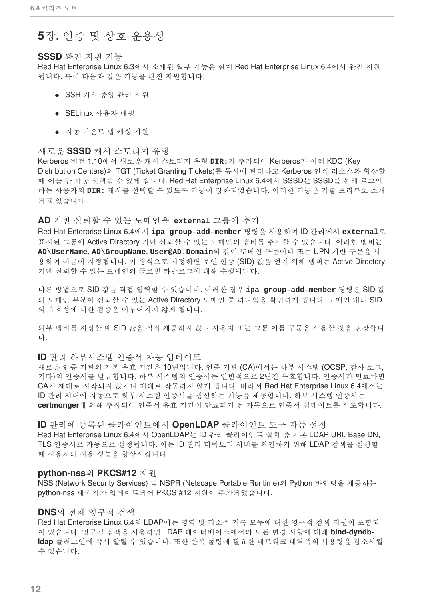### <span id="page-15-0"></span>**5**장**.** 인증 및 상호 운용성

#### <span id="page-15-1"></span>**SSSD** 완전 지원 기능

Red Hat Enterprise Linux 6.3에서 소개된 일부 기능은 현재 Red Hat Enterprise Linux 6.4에서 완전 지원 됩니다. 특히 다음과 같은 기능을 완전 지원합니다:

- $\bullet$  SSH 키의 중앙 관리 지워
- SELinux 사용자 매핑
- 자동 마운트 맵 캐싱 지워

#### <span id="page-15-2"></span>새로운 **SSSD** 캐시 스토리지 유형

Kerberos 버전 1.10에서 새로운 캐시 스토리지 유형 **DIR:**가 추가되어 Kerberos가 여러 KDC (Key Distribution Centers)의 TGT (Ticket Granting Tickets)를 동시에 관리하고 Kerberos 인식 리소스와 협상할 때 이들 간 자동 선택할 수 있게 합니다. Red Hat Enterprise Linux 6.4에서 SSSD는 SSSD를 통해 로그인 하는 사용자의 **DIR:** 캐시를 선택할 수 있도록 기능이 강화되었습니다. 이러한 기능은 기술 프리뷰로 소개 되고 있습니다.

#### <span id="page-15-3"></span>**AD** 기반 신뢰할 수 있는 도메인을 **external** 그룹에 추가

Red Hat Enterprise Linux 6.4에서 **ipa group-add-member** 명령을 사용하여 ID 관리에서 **external**로 표시된 그룹에 Active Directory 기반 신뢰할 수 있는 도메인의 멤버를 추가할 수 있습니다. 이러한 멤버는 **AD\UserName**, **AD\GroupName**, **User@AD.Domain**와 같이 도메인 구문이나 또는 UPN 기반 구문을 사 용하여 이름이 지정됩니다. 이 형식으로 지정하면 보안 인증 (SID) 값을 얻기 위해 멤버는 Active Directory 기반 신뢰할 수 있는 도메인의 글로벌 카탈로그에 대해 수행됩니다.

다른 방법으로 SID 값을 직접 입력할 수 있습니다. 이러한 경우 **ipa group-add-member** 명령은 SID 값 의 도메인 부분이 신뢰할 수 있는 Active Directory 도메인 중 하나임을 확인하게 됩니다. 도메인 내의 SID 의 유효성에 대한 검증은 이루어지지 않게 됩니다.

외부 멤버를 지정할 때 SID 값을 직접 제공하지 않고 사용자 또는 그룹 이름 구문을 사용할 것을 권장합니 다.

#### <span id="page-15-4"></span>**ID** 관리 하부시스템 인증서 자동 업데이트

새로운 인증 기관의 기본 유효 기간은 10년입니다. 인증 기관 (CA)에서는 하부 시스템 (OCSP, 감사 로그, 기타)의 인증서를 발급합니다. 하부 시스템의 인증서는 일반적으로 2년간 유효합니다. 인증서가 만료하면 CA가 제대로 시작되지 않거나 제대로 작동하지 않게 됩니다. 따라서 Red Hat Enterprise Linux 6.4에서는 ID 관리 서버에 자동으로 하부 시스템 인증서를 갱신하는 기능을 제공합니다. 하부 시스템 인증서는 **certmonger**에 의해 추적되어 인증서 유효 기간이 만료되기 전 자동으로 인증서 업데이트를 시도합니다.

<span id="page-15-5"></span>**ID** 관리에 등록된 클라이언트에서 **OpenLDAP** 클라이언트 도구 자동 설정 Red Hat Enterprise Linux 6.4에서 OpenLDAP는 ID 관리 클라이언트 설치 중 기본 LDAP URI, Base DN, TLS 인증서로 자동으로 설정됩니다. 이는 ID 관리 디렉토리 서버를 확인하기 위해 LDAP 검색을 실행할 때 사용자의 사용 성능을 향상시킵니다.

#### <span id="page-15-6"></span>**python-nss**의 **PKCS#12** 지원

NSS (Network Security Services) 및 NSPR (Netscape Portable Runtime)의 Python 바인딩을 제공하는 python-nss 패키지가 업데이트되어 PKCS #12 지원이 추가되었습니다.

#### <span id="page-15-7"></span>**DNS**의 전체 영구적 검색

Red Hat Enterprise Linux 6.4의 LDAP에는 영역 및 리소스 기록 모두에 대한 영구적 검색 지원이 포함되 어 있습니다. 영구적 검색을 사용하면 LDAP 데이터베이스에서의 모든 변경 사항에 대해 **bind-dyndbldap** 플러그인에 즉시 알릴 수 있습니다. 또한 반복 폴링에 필요한 네트워크 대역폭의 사용량을 감소시킬 수 있습니다.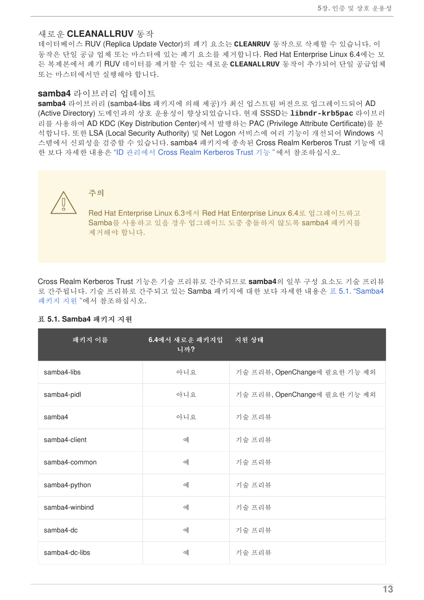#### <span id="page-16-0"></span>새로운 **CLEANALLRUV** 동작

데이터베이스 RUV (Replica Update Vector)의 폐기 요소는 **CLEANRUV** 동작으로 삭제할 수 있습니다. 이 동작은 단일 공급 업체 또는 마스터에 있는 폐기 요소를 제거합니다. Red Hat Enterprise Linux 6.4에는 모 든 복제본에서 폐기 RUV 데이터를 제거할 수 있는 새로운 **CLEANALLRUV** 동작이 추가되어 단일 공급업체 또는 마스터에서만 실행해야 합니다.

#### <span id="page-16-1"></span>**samba4** 라이브러리 업데이트

**samba4** 라이브러리 (samba4-libs 패키지에 의해 제공)가 최신 업스트림 버전으로 업그레이드되어 AD (Active Directory) 도메인과의 상호 운용성이 향상되었습니다. 현재 SSSD는 **libndr-krb5pac** 라이브러 리를 사용하여 AD KDC (Key Distribution Center)에서 발행하는 PAC (Privilege Attribute Certificate)를 분 석합니다. 또한 LSA (Local Security Authority) 및 Net Logon 서비스에 여러 기능이 개선되어 Windows 시 스템에서 신뢰성을 검증할 수 있습니다. samba4 패키지에 종속된 Cross Realm Kerberos Trust 기능에 대 한 보다 자세한 내용은 "ID 관리에서 Cross Realm [Kerberos](#page-17-0) Trust 기능 "에서 참조하십시오.



주의

Red Hat Enterprise Linux 6.3에서 Red Hat Enterprise Linux 6.4로 업그레이드하고 Samba를 사용하고 있을 경우 업그레이드 도중 충돌하지 않도록 samba4 패키지를 제거해야 합니다.

Cross Realm Kerberos Trust 기능은 기술 프리뷰로 간주되므로 **samba4**의 일부 구성 요소도 기술 프리뷰 로 간주됩니다. 기술 프리뷰로 간주되고 있는 Samba 패키지에 대한 보다 자세한 내용은 표 5.1. "Samba4 패키지 지원 "에서 [참조하십시오](#page-16-2).

| 패키지 이름         | 6.4에서 새로운 패키지입<br>니까? | 지원 상태                         |
|----------------|-----------------------|-------------------------------|
| samba4-libs    | 아니요                   | 기술 프리뷰, OpenChange에 필요한 기능 제외 |
| samba4-pidl    | 아니요                   | 기술 프리뷰, OpenChange에 필요한 기능 제외 |
| samba4         | 아니요                   | 기술 프리뷰                        |
| samba4-client  | 예                     | 기술 프리뷰                        |
| samba4-common  | 예                     | 기술 프리뷰                        |
| samba4-python  | 예                     | 기술 프리뷰                        |
| samba4-winbind | 예                     | 기술 프리뷰                        |
| samba4-dc      | 예                     | 기술 프리뷰                        |
| samba4-dc-libs | 예                     | 기술 프리뷰                        |

#### <span id="page-16-2"></span>표 **5.1. Samba4** 패키지 지원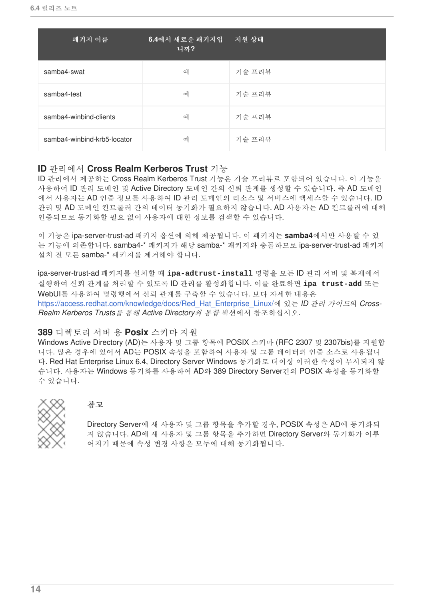| 패키지 이름                      | 6.4에서 새로운 패키지입<br>니까? | 지원 상태  |
|-----------------------------|-----------------------|--------|
| samba4-swat                 | 예                     | 기술 프리뷰 |
| samba4-test                 | 예                     | 기술 프리뷰 |
| samba4-winbind-clients      | 예                     | 기술 프리뷰 |
| samba4-winbind-krb5-locator | 예                     | 기술 프리뷰 |

### <span id="page-17-0"></span>**ID** 관리에서 **Cross Realm Kerberos Trust** 기능

ID 관리에서 제공하는 Cross Realm Kerberos Trust 기능은 기술 프리뷰로 포함되어 있습니다. 이 기능을 사용하여 ID 관리 도메인 및 Active Directory 도메인 간의 신뢰 관계를 생성할 수 있습니다. 즉 AD 도메인 에서 사용자는 AD 인증 정보를 사용하여 ID 관리 도메인의 리소스 및 서비스에 액세스할 수 있습니다. ID 관리 및 AD 도메인 컨트롤러 간의 데이터 동기화가 필요하지 않습니다. AD 사용자는 AD 컨트롤러에 대해 인증되므로 동기화할 필요 없이 사용자에 대한 정보를 검색할 수 있습니다.

이 기능은 ipa-server-trust-ad 패키지 옵션에 의해 제공됩니다. 이 패키지는 **samba4**에서만 사용할 수 있 는 기능에 의존합니다. samba4-\* 패키지가 해당 samba-\* 패키지와 충돌하므로 ipa-server-trust-ad 패키지 설치 전 모든 samba-\* 패키지를 제거해야 합니다.

ipa-server-trust-ad 패키지를 설치할 때 **ipa-adtrust-install** 명령을 모든 ID 관리 서버 및 복제에서 실행하여 신뢰 관계를 처리할 수 있도록 ID 관리를 활성화합니다. 이를 완료하면 **ipa trust-add** 또는 WebUI를 사용하여 명령행에서 신뢰 관계를 구축할 수 있습니다. 보다 자세한 내용은 [https://access.redhat.com/knowledge/docs/Red\\_Hat\\_Enterprise\\_Linux/](https://access.redhat.com/knowledge/docs/Red_Hat_Enterprise_Linux/)에 있는 *ID* 관리 가이드의 *Cross-Realm Kerberos Trusts*를 통해 *Active Directory*와 통합 섹션에서 참조하십시오.

#### <span id="page-17-1"></span>**389** 디렉토리 서버 용 **Posix** 스키마 지원

Windows Active Directory (AD)는 사용자 및 그룹 항목에 POSIX 스키마 (RFC 2307 및 2307bis)를 지원합 니다. 많은 경우에 있어서 AD는 POSIX 속성을 포함하여 사용자 및 그룹 데이터의 인증 소스로 사용됩니 다. Red Hat Enterprise Linux 6.4, Directory Server Windows 동기화로 더이상 이러한 속성이 무시되지 않 습니다. 사용자는 Windows 동기화를 사용하여 AD와 389 Directory Server간의 POSIX 속성을 동기화할 수 있습니다.



#### 참고

Directory Server에 새 사용자 및 그룹 항목을 추가할 경우, POSIX 속성은 AD에 동기화되 지 않습니다. AD에 새 사용자 및 그룹 항목을 추가하면 Directory Server와 동기화가 이루 어지기 때문에 속성 변경 사항은 모두에 대해 동기화됩니다.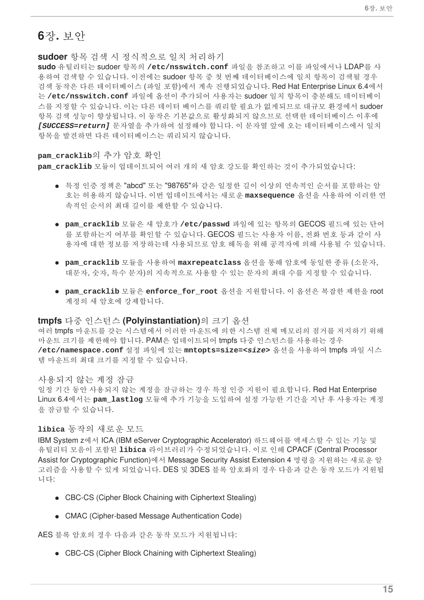### <span id="page-18-0"></span>**6**장**.** 보안

<span id="page-18-1"></span>**sudoer** 항목 검색 시 정식적으로 일치 처리하기

**sudo** 유틸리티는 sudoer 항목의 **/etc/nsswitch.conf** 파일을 참조하고 이를 파일에서나 LDAP를 사 용하여 검색할 수 있습니다. 이전에는 sudoer 항목 중 첫 번째 데이터베이스에 일치 항목이 검색될 경우 검색 동작은 다른 데이터베이스 (파일 포함)에서 계속 진행되었습니다. Red Hat Enterprise Linux 6.4에서 는 **/etc/nsswitch.conf** 파일에 옵션이 추가되어 사용자는 sudoer 일치 항목이 충분해도 데이터베이 스를 지정할 수 있습니다. 이는 다른 데이터 베이스를 쿼리할 필요가 없게되므로 대규모 환경에서 sudoer 항목 검색 성능이 향상됩니다. 이 동작은 기본값으로 활성화되지 않으므로 선택한 데이터베이스 이후에 *[SUCCESS=return]* 문자열을 추가하여 설정해야 합니다. 이 문자열 앞에 오는 데이터베이스에서 일치 항목을 발견하면 다른 데이터베이스는 쿼리되지 않습니다.

#### <span id="page-18-2"></span>**pam\_cracklib**의 추가 암호 확인

**pam\_cracklib** 모듈이 업데이트되어 여러 개의 새 암호 강도를 확인하는 것이 추가되었습니다:

- 특정 인증 정책은 "abcd" 또는 "98765"와 같은 일정한 길이 이상의 연속적인 순서를 포함하는 암 호는 허용하지 않습니다. 이번 업데이트에서는 새로운 **maxsequence** 옵션을 사용하여 이러한 연 속적인 순서의 최대 길이를 제한할 수 있습니다.
- **pam\_cracklib** 모듈은 새 암호가 **/etc/passwd** 파일에 있는 항목의 GECOS 필드에 있는 단어 를 포함하는지 여부를 확인할 수 있습니다. GECOS 필드는 사용자 이름, 전화 번호 등과 같이 사 용자에 대한 정보를 저장하는데 사용되므로 암호 해독을 위해 공격자에 의해 사용될 수 있습니다.
- **pam\_cracklib** 모듈을 사용하여 **maxrepeatclass** 옵션을 통해 암호에 동일한 종류 (소문자, 대문자, 숫자, 특수 문자)의 지속적으로 사용할 수 있는 문자의 최대 수를 지정할 수 있습니다.
- **pam\_cracklib** 모듈은 **enforce\_for\_root** 옵션을 지원합니다. 이 옵션은 복잡한 제한을 root 계정의 새 암호에 강제합니다.

#### <span id="page-18-3"></span>**tmpfs** 다중 인스턴스 **(Polyinstantiation)**의 크기 옵션

여러 tmpfs 마운트를 갖는 시스템에서 이러한 마운트에 의한 시스템 전체 메모리의 점거를 저지하기 위해 마운트 크기를 제한해야 합니다. PAM은 업데이트되어 tmpfs 다중 인스턴스를 사용하는 경우 **/etc/namespace.conf** 설정 파일에 있는 **mntopts=size=***<size>* 옵션을 사용하여 tmpfs 파일 시스 템 마운트의 최대 크기를 지정할 수 있습니다.

#### <span id="page-18-4"></span>사용되지 않는 계정 잠금

일정 기간 동안 사용되지 않는 계정을 잠금하는 경우 특정 인증 지원이 필요합니다. Red Hat Enterprise Linux 6.4에서는 **pam\_lastlog** 모듈에 추가 기능을 도입하여 설정 가능한 기간을 지난 후 사용자는 계정 을 잠금할 수 있습니다.

#### <span id="page-18-5"></span>**libica** 동작의 새로운 모드

IBM System z에서 ICA (IBM eServer Cryptographic Accelerator) 하드웨어를 액세스할 수 있는 기능 및 유틸리티 모음이 포함된 **libica** 라이브러리가 수정되었습니다. 이로 인해 CPACF (Central Processor Assist for Cryptographic Function)에서 Message Security Assist Extension 4 명령을 지원하는 새로운 알 고리즘을 사용할 수 있게 되었습니다. DES 및 3DES 블록 암호화의 경우 다음과 같은 동작 모드가 지원됩 니다:

- CBC-CS (Cipher Block Chaining with Ciphertext Stealing)
- CMAC (Cipher-based Message Authentication Code)

AES 블록 암호의 경우 다음과 같은 동작 모드가 지원됩니다:

• CBC-CS (Cipher Block Chaining with Ciphertext Stealing)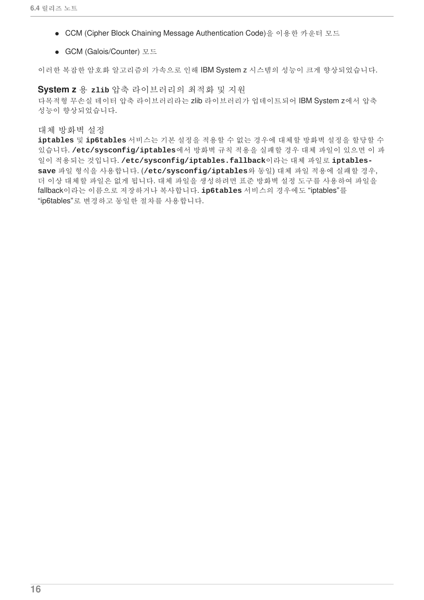- CCM (Cipher Block Chaining Message Authentication Code)을 이용한 카운터 모드
- GCM (Galois/Counter) 모드

이러한 복잡한 암호화 알고리즘의 가속으로 인해 IBM System z 시스템의 성능이 크게 향상되었습니다.

<span id="page-19-0"></span>**System z** 용 **zlib** 압축 라이브러리의 최적화 및 지원 다목적형 무손실 데이터 압축 라이브러리라는 zlib 라이브러리가 업데이트되어 IBM System z에서 압축 성능이 향상되었습니다.

<span id="page-19-1"></span>대체 방화벽 설정

**iptables** 및 **ip6tables** 서비스는 기본 설정을 적용할 수 없는 경우에 대체할 방화벽 설정을 할당할 수 있습니다. **/etc/sysconfig/iptables**에서 방화벽 규칙 적용을 실패할 경우 대체 파일이 있으면 이 파 일이 적용되는 것입니다. **/etc/sysconfig/iptables.fallback**이라는 대체 파일로 **iptablessave** 파일 형식을 사용합니다. (**/etc/sysconfig/iptables**와 동일) 대체 파일 적용에 실패할 경우, 더 이상 대체할 파일은 없게 됩니다. 대체 파일을 생성하려면 표준 방화벽 설정 도구를 사용하여 파일을 fallback이라는 이름으로 저장하거나 복사합니다. **ip6tables** 서비스의 경우에도 "iptables"를 "ip6tables"로 변경하고 동일한 절차를 사용합니다.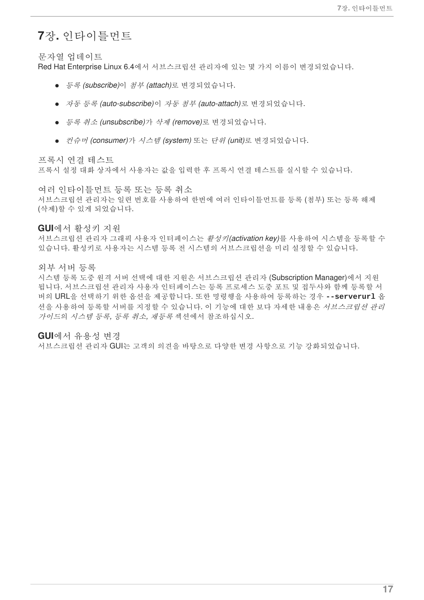### <span id="page-20-0"></span>**7**장**.** 인타이틀먼트

<span id="page-20-1"></span>문자열 업데이트

Red Hat Enterprise Linux 6.4에서 서브스크립션 관리자에 있는 몇 가지 이름이 변경되었습니다.

- 등록 *(subscribe)*이 첨부 *(attach)*로 변경되었습니다.
- 자동 등록 *(auto-subscribe)*이 자동 첨부 *(auto-attach)*로 변경되었습니다.
- 등록 취소 *(unsubscribe)*가 삭제 *(remove)*로 변경되었습니다.
- 컨슈머 *(consumer)*가 시스템 *(system)* 또는 단위 *(unit)*로 변경되었습니다.

<span id="page-20-2"></span>프록시 연결 테스트

프록시 설정 대화 상자에서 사용자는 값을 입력한 후 프록시 연결 테스트를 실시할 수 있습니다.

<span id="page-20-3"></span>여러 인타이틀먼트 등록 또는 등록 취소 서브스크립션 관리자는 일련 번호를 사용하여 한번에 여러 인타이틀먼트를 등록 (첨부) 또는 등록 해제 (삭제)할 수 있게 되었습니다.

<span id="page-20-4"></span>**GUI**에서 활성키 지원

서브스크립션 관리자 그래픽 사용자 인터페이스는 활성키*(activation key)*를 사용하여 시스템을 등록할 수 있습니다. 활성키로 사용자는 시스템 등록 전 시스템의 서브스크립션을 미리 설정할 수 있습니다.

<span id="page-20-5"></span>외부 서버 등록

시스템 등록 도중 원격 서버 선택에 대한 지원은 서브스크립션 관리자 (Subscription Manager)에서 지원 됩니다. 서브스크립션 관리자 사용자 인터페이스는 등록 프로세스 도중 포트 및 접두사와 함께 등록할 서 버의 URL을 선택하기 위한 옵션을 제공합니다. 또한 명령행을 사용하여 등록하는 경우 **--serverurl** 옵 션을 사용하여 등록할 서버를 지정할 수 있습니다. 이 기능에 대한 보다 자세한 내용은 서브스크립션 관리 가이드의 시스템 등록*,* 등록 취소*,* 재등록 섹션에서 참조하십시오.

<span id="page-20-6"></span>**GUI**에서 유용성 변경

서브스크립션 관리자 GUI는 고객의 의견을 바탕으로 다양한 변경 사항으로 기능 강화되었습니다.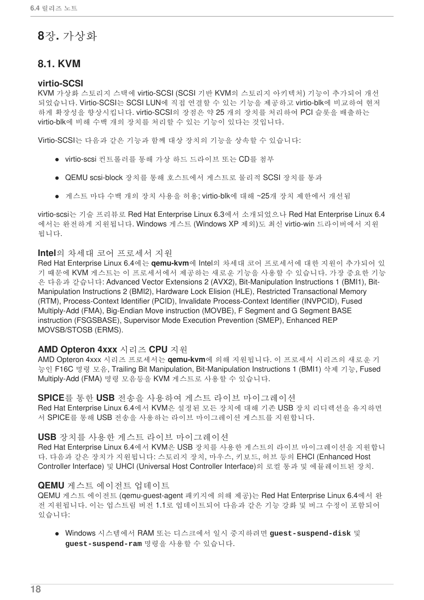## <span id="page-21-0"></span>**8**장**.** 가상화

### <span id="page-21-1"></span>**8.1. KVM**

#### <span id="page-21-2"></span>**virtio-SCSI**

KVM 가상화 스토리지 스택에 virtio-SCSI (SCSI 기반 KVM의 스토리지 아키텍처) 기능이 추가되어 개선 되었습니다. Virtio-SCSI는 SCSI LUN에 직접 연결할 수 있는 기능을 제공하고 virtio-blk에 비교하여 현저 하게 확장성을 향상시킵니다. virtio-SCSI의 장점은 약 25 개의 장치를 처리하여 PCI 슬롯을 배출하는 virtio-blk에 비해 수백 개의 장치를 처리할 수 있는 기능이 있다는 것입니다.

Virtio-SCSI는 다음과 같은 기능과 함께 대상 장치의 기능을 상속할 수 있습니다:

- virtio-scsi 컨트롤러를 통해 가상 하드 드라이브 또는 CD를 첨부
- QEMU scsi-block 장치를 통해 호스트에서 게스트로 물리적 SCSI 장치를 통과
- 게스트 마다 수백 개의 장치 사용을 허용; virtio-blk에 대해 ~25개 장치 제한에서 개선됨

virtio-scsi는 기술 프리뷰로 Red Hat Enterprise Linux 6.3에서 소개되었으나 Red Hat Enterprise Linux 6.4 에서는 완전하게 지원됩니다. Windows 게스트 (Windows XP 제외)도 최신 virtio-win 드라이버에서 지원 됩니다.

#### <span id="page-21-3"></span>**Intel**의 차세대 코어 프로세서 지원

Red Hat Enterprise Linux 6.4에는 **qemu-kvm**에 Intel의 차세대 코어 프로세서에 대한 지원이 추가되어 있 기 때문에 KVM 게스트는 이 프로세서에서 제공하는 새로운 기능을 사용할 수 있습니다. 가장 중요한 기능 은 다음과 같습니다: Advanced Vector Extensions 2 (AVX2), Bit-Manipulation Instructions 1 (BMI1), Bit-Manipulation Instructions 2 (BMI2), Hardware Lock Elision (HLE), Restricted Transactional Memory (RTM), Process-Context Identifier (PCID), Invalidate Process-Context Identifier (INVPCID), Fused Multiply-Add (FMA), Big-Endian Move instruction (MOVBE), F Segment and G Segment BASE instruction (FSGSBASE), Supervisor Mode Execution Prevention (SMEP), Enhanced REP MOVSB/STOSB (ERMS).

### <span id="page-21-4"></span>**AMD Opteron 4xxx** 시리즈 **CPU** 지원

AMD Opteron 4xxx 시리즈 프로세서는 **qemu-kvm**에 의해 지원됩니다. 이 프로세서 시리즈의 새로운 기 능인 F16C 명령 모음, Trailing Bit Manipulation, Bit-Manipulation Instructions 1 (BMI1) 삭제 기능, Fused Multiply-Add (FMA) 명령 모음등을 KVM 게스트로 사용할 수 있습니다.

<span id="page-21-5"></span>**SPICE**를 통한 **USB** 전송을 사용하여 게스트 라이브 마이그레이션 Red Hat Enterprise Linux 6.4에서 KVM은 설정된 모든 장치에 대해 기존 USB 장치 리디렉션을 유지하면 서 SPICE를 통해 USB 전송을 사용하는 라이브 마이그레이션 게스트를 지원합니다.

#### <span id="page-21-6"></span>**USB** 장치를 사용한 게스트 라이브 마이그레이션

Red Hat Enterprise Linux 6.4에서 KVM은 USB 장치를 사용한 게스트의 라이브 마이그레이션을 지원합니 다. 다음과 같은 장치가 지원됩니다: 스토리지 장치, 마우스, 키보드, 허브 등의 EHCI (Enhanced Host Controller Interface) 및 UHCI (Universal Host Controller Interface)의 로컬 통과 및 에뮬레이트된 장치.

#### <span id="page-21-7"></span>**QEMU** 게스트 에이전트 업데이트

QEMU 게스트 에이전트 (qemu-guest-agent 패키지에 의해 제공)는 Red Hat Enterprise Linux 6.4에서 완 전 지원됩니다. 이는 업스트림 버전 1.1로 업데이트되어 다음과 같은 기능 강화 및 버그 수정이 포함되어 있습니다:

Windows 시스템에서 RAM 또는 디스크에서 일시 중지하려면 **guest-suspend-disk** 및 **guest-suspend-ram** 명령을 사용할 수 있습니다.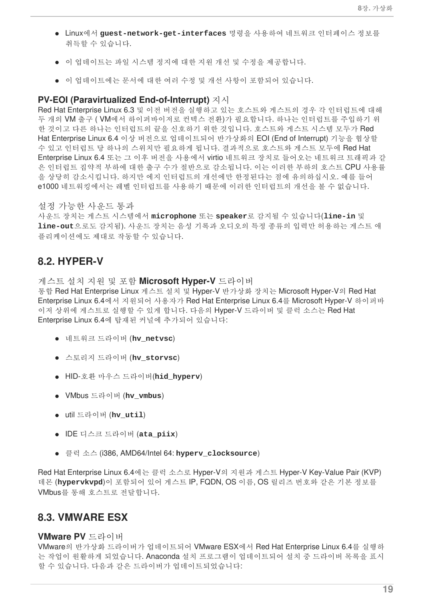- Linux에서 **guest-network-get-interfaces** 명령을 사용하여 네트워크 인터페이스 정보를 취득할 수 있습니다.
- 이 업데이트는 파일 시스템 정지에 대한 지원 개선 및 수정을 제공합니다.
- 이 업데이트에는 문서에 대한 여러 수정 및 개선 사항이 포함되어 있습니다.

#### <span id="page-22-0"></span>**PV-EOI (Paravirtualized End-of-Interrupt)** 지시

Red Hat Enterprise Linux 6.3 및 이전 버전을 실행하고 있는 호스트와 게스트의 경우 각 인터럽트에 대해 두 개의 VM 출구 ( VM에서 하이퍼바이저로 컨텍스 전환)가 필요합니다. 하나는 인터럽트를 주입하기 위 한 것이고 다른 하나는 인터럽트의 끝을 신호하기 위한 것입니다. 호스트와 게스트 시스템 모두가 Red Hat Enterprise Linux 6.4 이상 버전으로 업데이트되어 반가상화의 EOI (End of Interrupt) 기능을 협상할 수 있고 인터럽트 당 하나의 스위치만 필요하게 됩니다. 결과적으로 호스트와 게스트 모두에 Red Hat Enterprise Linux 6.4 또는 그 이후 버전을 사용에서 virtio 네트워크 장치로 들어오는 네트워크 트래픽과 같 은 인터럽트 집약적 부하에 대한 출구 수가 절반으로 감소됩니다. 이는 이러한 부하의 호스트 CPU 사용률 을 상당히 감소시킵니다. 하지만 에지 인터럽트의 개선에만 한정된다는 점에 유의하십시오. 예를 들어 e1000 네트워킹에서는 레벨 인터럽트를 사용하기 때문에 이러한 인터럽트의 개선을 볼 수 없습니다.

#### <span id="page-22-1"></span>설정 가능한 사운드 통과

사운드 장치는 게스트 시스템에서 **microphone** 또는 **speaker**로 감지될 수 있습니다(**line-in** 및 **line-out**으로도 감지됨). 사운드 장치는 음성 기록과 오디오의 특정 종류의 입력만 허용하는 게스트 애 플리케이션에도 제대로 작동할 수 있습니다.

### <span id="page-22-2"></span>**8.2. HYPER-V**

#### <span id="page-22-3"></span>게스트 설치 지원 및 포함 **Microsoft Hyper-V** 드라이버

통합 Red Hat Enterprise Linux 게스트 설치 및 Hyper-V 반가상화 장치는 Microsoft Hyper-V의 Red Hat Enterprise Linux 6.4에서 지원되어 사용자가 Red Hat Enterprise Linux 6.4를 Microsoft Hyper-V 하이퍼바 이저 상위에 게스트로 실행할 수 있게 합니다. 다음의 Hyper-V 드라이버 및 클럭 소스는 Red Hat Enterprise Linux 6.4에 탑재된 커널에 추가되어 있습니다:

- 네트워크 드라이버 (**hv\_netvsc**)
- 스토리지 드라이버 (**hv\_storvsc**)
- HID-호환 마우스 드라이버(**hid\_hyperv**)
- VMbus 드라이버 (**hv\_vmbus**)
- util 드라이버 (**hv\_util**)
- IDE 디스크 드라이버 (**ata\_piix**)
- 클럭 소스 (i386, AMD64/Intel 64: **hyperv\_clocksource**)

Red Hat Enterprise Linux 6.4에는 클럭 소스로 Hyper-V의 지원과 게스트 Hyper-V Key-Value Pair (KVP) 데몬 (**hypervkvpd**)이 포함되어 있어 게스트 IP, FQDN, OS 이름, OS 릴리즈 번호와 같은 기본 정보를 VMbus를 통해 호스트로 전달합니다.

### <span id="page-22-4"></span>**8.3. VMWARE ESX**

#### <span id="page-22-5"></span>**VMware PV** 드라이버

VMware의 반가상화 드라이버가 업데이트되어 VMware ESX에서 Red Hat Enterprise Linux 6.4를 실행하 는 작업이 원활하게 되었습니다. Anaconda 설치 프로그램이 업데이트되어 설치 중 드라이버 목록을 표시 할 수 있습니다. 다음과 같은 드라이버가 업데이트되었습니다: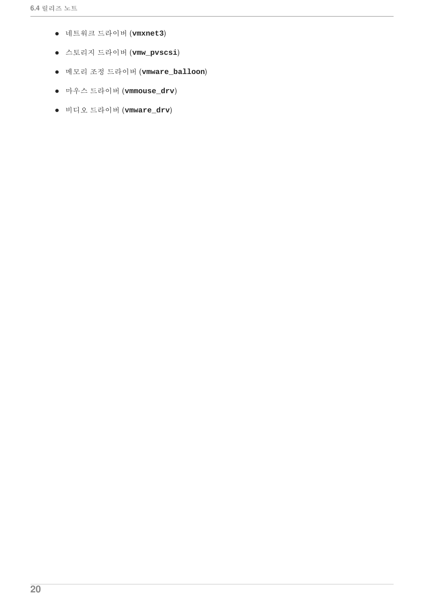- 네트워크 드라이버 (**vmxnet3**)
- 스토리지 드라이버 (**vmw\_pvscsi**)
- 메모리 조정 드라이버 (**vmware\_balloon**)
- 마우스 드라이버 (**vmmouse\_drv**)
- 비디오 드라이버 (**vmware\_drv**)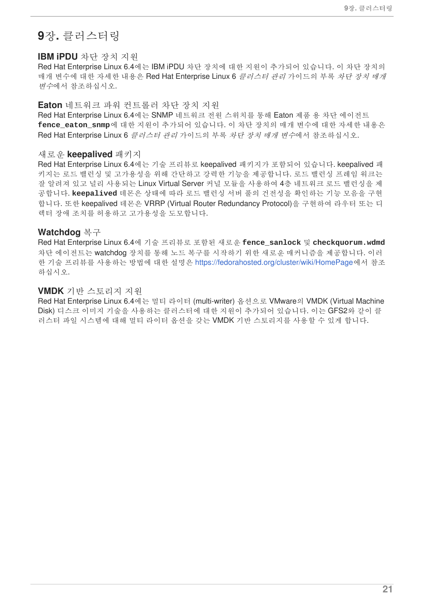### <span id="page-24-0"></span>**9**장**.** 클러스터링

#### <span id="page-24-1"></span>**IBM iPDU** 차단 장치 지원

Red Hat Enterprise Linux 6.4에는 IBM iPDU 차단 장치에 대한 지원이 추가되어 있습니다. 이 차단 장치의 매개 변수에 대한 자세한 내용은 Red Hat Enterprise Linux 6 *클러스터 관리* 가이드의 부록 *차단 장치 매개* 변수에서 참조하십시오.

#### <span id="page-24-2"></span>**Eaton** 네트워크 파워 컨트롤러 차단 장치 지원

Red Hat Enterprise Linux 6.4에는 SNMP 네트워크 전원 스위치를 통해 Eaton 제품 용 차단 에이전트 **fence\_eaton\_snmp**에 대한 지원이 추가되어 있습니다. 이 차단 장치의 매개 변수에 대한 자세한 내용은 Red Hat Enterprise Linux 6 *클러스터 관리* 가이드의 부록 *차단 장치 매개 변수*에서 참조하십시오.

#### <span id="page-24-3"></span>새로운 **keepalived** 패키지

Red Hat Enterprise Linux 6.4에는 기술 프리뷰로 keepalived 패키지가 포함되어 있습니다. keepalived 패 키지는 로드 밸런싱 및 고가용성을 위해 간단하고 강력한 기능을 제공합니다. 로드 밸런싱 프레임 워크는 잘 알려져 있고 널리 사용되는 Linux Virtual Server 커널 모듈을 사용하여 4층 네트워크 로드 밸런싱을 제 공합니다. **keepalived** 데몬은 상태에 따라 로드 밸런싱 서버 풀의 건전성을 확인하는 기능 모음을 구현 합니다. 또한 keepalived 데몬은 VRRP (Virtual Router Redundancy Protocol)을 구현하여 라우터 또는 디 렉터 장애 조치를 허용하고 고가용성을 도모합니다.

#### <span id="page-24-4"></span>**Watchdog** 복구

Red Hat Enterprise Linux 6.4에 기술 프리뷰로 포함된 새로운 **fence\_sanlock** 및 **checkquorum.wdmd** 차단 에이전트는 watchdog 장치를 통해 노드 복구를 시작하기 위한 새로운 매커니즘을 제공합니다. 이러 한 기술 프리뷰를 사용하는 방법에 대한 설명은 <https://fedorahosted.org/cluster/wiki/HomePage>에서 참조 하십시오.

#### <span id="page-24-5"></span>**VMDK** 기반 스토리지 지원

Red Hat Enterprise Linux 6.4에는 멀티 라이터 (multi-writer) 옵션으로 VMware의 VMDK (Virtual Machine Disk) 디스크 이미지 기술을 사용하는 클러스터에 대한 지원이 추가되어 있습니다. 이는 GFS2와 같이 클 러스터 파일 시스템에 대해 멀티 라이터 옵션을 갖는 VMDK 기반 스토리지를 사용할 수 있게 합니다.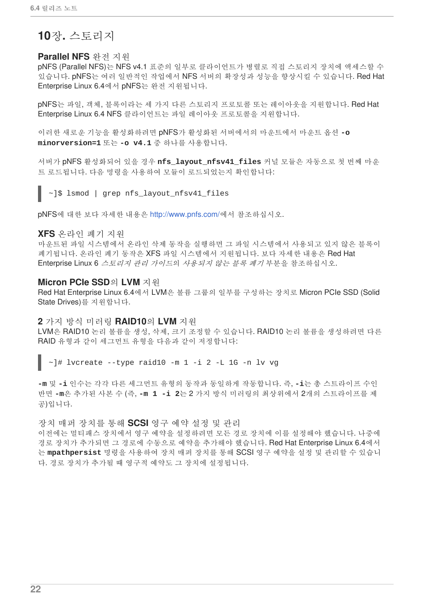## <span id="page-25-0"></span>**10**장**.** 스토리지

#### <span id="page-25-1"></span>**Parallel NFS** 완전 지원

pNFS (Parallel NFS)는 NFS v4.1 표준의 일부로 클라이언트가 병렬로 직접 스토리지 장치에 액세스할 수 있습니다. pNFS는 여러 일반적인 작업에서 NFS 서버의 확장성과 성능을 향상시킬 수 있습니다. Red Hat Enterprise Linux 6.4에서 pNFS는 완전 지원됩니다.

pNFS는 파일, 객체, 블록이라는 세 가지 다른 스토리지 프로토콜 또는 레이아웃을 지원합니다. Red Hat Enterprise Linux 6.4 NFS 클라이언트는 파일 레이아웃 프로토콜을 지원합니다.

이러한 새로운 기능을 활성화하려면 pNFS가 활성화된 서버에서의 마운트에서 마운트 옵션 **-o minorversion=1** 또는 **-o v4.1** 중 하나를 사용합니다.

서버가 pNFS 활성화되어 있을 경우 **nfs\_layout\_nfsv41\_files** 커널 모듈은 자동으로 첫 번째 마운 트 로드됩니다. 다음 명령을 사용하여 모듈이 로드되었는지 확인합니다:

~]\$ lsmod | grep nfs\_layout\_nfsv41\_files

pNFS에 대한 보다 자세한 내용은 <http://www.pnfs.com/>에서 참조하십시오.

#### <span id="page-25-2"></span>**XFS** 온라인 폐기 지원

마운트된 파일 시스템에서 온라인 삭제 동작을 실행하면 그 파일 시스템에서 사용되고 있지 않은 블록이 폐기됩니다. 온라인 폐기 동작은 XFS 파일 시스템에서 지원됩니다. 보다 자세한 내용은 Red Hat Enterprise Linux 6 스토리지 관리 가이드의 사용되지 않는 블록 폐기 부분을 참조하십시오.

#### <span id="page-25-3"></span>**Micron PCIe SSD**의 **LVM** 지원

Red Hat Enterprise Linux 6.4에서 LVM은 볼륨 그룹의 일부를 구성하는 장치로 Micron PCIe SSD (Solid State Drives)를 지원합니다.

#### <span id="page-25-4"></span>**2** 가지 방식 미러링 **RAID10**의 **LVM** 지원

LVM은 RAID10 논리 볼륨을 생성, 삭제, 크기 조정할 수 있습니다. RAID10 논리 볼륨을 생성하려면 다른 RAID 유형과 같이 세그먼트 유형을 다음과 같이 저정합니다:

 $\sim$ ]# lvcreate --type raid10 -m 1 -i 2 -L 1G -n lv vg

**-m** 및 **-i** 인수는 각각 다른 세그먼트 유형의 동작과 동일하게 작동합니다. 즉, **-i**는 총 스트라이프 수인 반면 **-m**은 추가된 사본 수 (즉, **-m 1 -i 2**는 2 가지 방식 미러링의 최상위에서 2개의 스트라이프를 제 공)입니다.

#### <span id="page-25-5"></span>장치 매퍼 장치를 통해 **SCSI** 영구 예약 설정 및 관리

이전에는 멀티패스 장치에서 영구 예약을 설정하려면 모든 경로 장치에 이를 설정해야 했습니다. 나중에 경로 장치가 추가되면 그 경로에 수동으로 예약을 추가해야 했습니다. Red Hat Enterprise Linux 6.4에서 는 **mpathpersist** 명령을 사용하여 장치 매퍼 장치를 통해 SCSI 영구 예약을 설정 및 관리할 수 있습니 다. 경로 장치가 추가될 때 영구적 예약도 그 장치에 설정됩니다.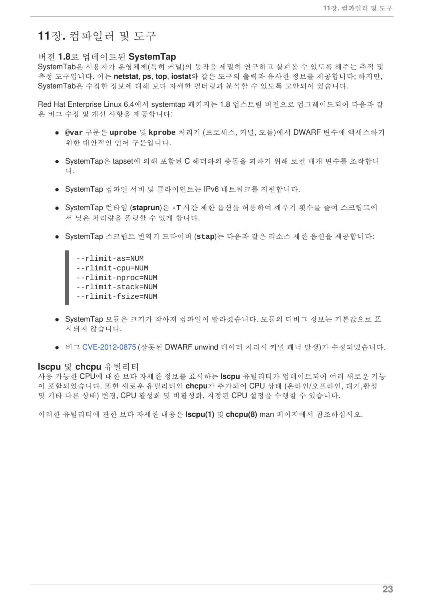### <span id="page-26-0"></span>**11**장**.** 컴파일러 및 도구

#### <span id="page-26-1"></span>버전 **1.8**로 업데이트된 **SystemTap**

SystemTab은 사용자가 운영체제(특히 커널)의 동작을 세밀히 연구하고 살펴볼 수 있도록 해주는 추적 및 측정 도구입니다. 이는 **netstat**, **ps**, **top**, **iostat**와 같은 도구의 출력과 유사한 정보를 제공합니다; 하지만, SystemTab은 수집한 정보에 대해 보다 자세한 필터링과 분석할 수 있도록 고안되어 있습니다.

Red Hat Enterprise Linux 6.4에서 systemtap 패키지는 1.8 업스트림 버전으로 업그레이드되어 다음과 같 은 버그 수정 및 개선 사항을 제공합니다:

- **@var** 구문은 **uprobe** 및 **kprobe** 처리기 (프로세스, 커널, 모듈)에서 DWARF 변수에 액세스하기 위한 대안적인 언어 구문입니다.
- SvstemTap은 tapset에 의해 포함된 C 헤더와의 충돌을 피하기 위해 로컬 매개 변수를 조작합니 다.
- SystemTap 컴파일 서버 및 클라이언트는 IPv6 네트워크를 지원합니다.
- SystemTap 런타임 (**staprun**)은 **-T** 시간 제한 옵션을 허용하여 깨우기 횟수를 줄여 스크립트에 서 낮은 처리량을 폴링할 수 있게 합니다.
- SystemTap 스크립트 번역기 드라이버 (**stap**)는 다음과 같은 리소스 제한 옵션을 제공합니다:
	- --rlimit-as=NUM --rlimit-cpu=NUM --rlimit-nproc=NUM --rlimit-stack=NUM --rlimit-fsize=NUM
- SystemTap 모듈은 크기가 작아져 컴파일이 빨라졌습니다. 모듈의 디버그 정보는 기본값으로 표 시되지 않습니다.
- 버그 [CVE-2012-0875](https://bugzilla.redhat.com/show_bug.cgi?id=795913) (잘못된 DWARF unwind 데이터 처리시 커널 패닉 발생)가 수정되었습니다.

#### <span id="page-26-2"></span>**lscpu** 및 **chcpu** 유틸리티

사용 가능한 CPU에 대한 보다 자세한 정보를 표시하는 **lscpu** 유틸리티가 업데이트되어 여러 새로운 기능 이 포함되었습니다. 또한 새로운 유틸리티인 **chcpu**가 추가되어 CPU 상태 (온라인/오프라인, 대기,활성 및 기타 다른 상태) 변경, CPU 활성화 및 비활성화, 지정된 CPU 설정을 수행할 수 있습니다.

이러한 유틸리티에 관한 보다 자세한 내용은 **lscpu(1)** 및 **chcpu(8)** man 페이지에서 참조하십시오.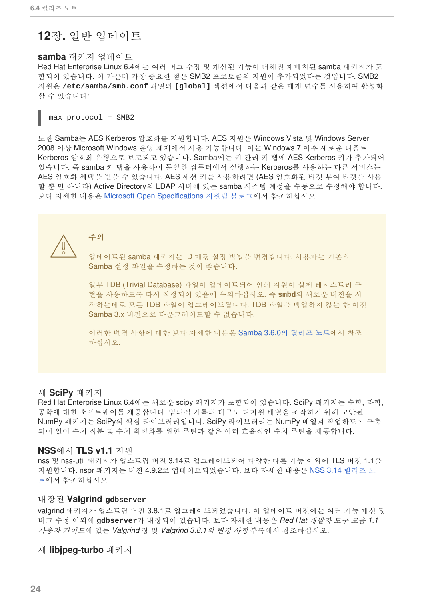# <span id="page-27-0"></span>**12**장**.** 일반 업데이트

### <span id="page-27-1"></span>**samba** 패키지 업데이트

Red Hat Enterprise Linux 6.4에는 여러 버그 수정 및 개선된 기능이 더해진 재배치된 samba 패키지가 포 함되어 있습니다. 이 가운데 가장 중요한 점은 SMB2 프로토콜의 지원이 추가되었다는 것입니다. SMB2 지원은 **/etc/samba/smb.conf** 파일의 **[global]** 섹션에서 다음과 같은 매개 변수를 사용하여 활성화 할 수 있습니다:

 $max$  protocol = SMB2

또한 Samba는 AES Kerberos 암호화를 지원합니다. AES 지원은 Windows Vista 및 Windows Server 2008 이상 Microsoft Windows 운영 체제에서 사용 가능합니다. 이는 Windows 7 이후 새로운 디폴트 Kerberos 암호화 유형으로 보고되고 있습니다. Samba에는 키 관리 키 탭에 AES Kerberos 키가 추가되어 있습니다. 즉 samba 키 탭을 사용하여 동일한 컴퓨터에서 실행하는 Kerberos를 사용하는 다른 서비스는 AES 암호화 혜택을 받을 수 있습니다. AES 세션 키를 사용하려면 (AES 암호화된 티켓 부여 티켓을 사용 할 뿐 만 아니라) Active Directory의 LDAP 서버에 있는 samba 시스템 계정을 수동으로 수정해야 합니다. 보다 자세한 내용은 Microsoft Open [Specifications](https://blogs.msdn.com/b/openspecification/archive/2009/09/12/msds-supportedencryptiontypes-episode-1-computer-accounts.aspx?Redirected=true) 지원팀 블로그에서 참조하십시오.



주의

업데이트된 samba 패키지는 ID 매핑 설정 방법을 변경합니다. 사용자는 기존의 Samba 설정 파일을 수정하는 것이 좋습니다.

일부 TDB (Trivial Database) 파일이 업데이트되어 인쇄 지원이 실제 레지스트리 구 현을 사용하도록 다시 작정되어 있음에 유의하십시오. 즉 **smbd**의 새로운 버전을 시 작하는데로 모든 TDB 파일이 업그레이드됩니다. TDB 파일을 백업하지 않는 한 이전 Samba 3.x 버전으로 다운그레이드할 수 없습니다.

이러한 변경 사항에 대한 보다 자세한 내용은 [Samba](http://www.samba.org/samba/history/samba-3.6.0.html) 3.6.0의 릴리즈 노트에서 참조 하십시오.

#### <span id="page-27-2"></span>새 **SciPy** 패키지

Red Hat Enterprise Linux 6.4에는 새로운 scipy 패키지가 포함되어 있습니다. SciPy 패키지는 수학, 과학, 공학에 대한 소프트웨어를 제공합니다. 임의적 기록의 대규모 다차원 배열을 조작하기 위해 고안된 NumPy 패키지는 SciPy의 핵심 라이브러리입니다. SciPy 라이브러리는 NumPy 배열과 작업하도록 구축 되어 있어 수치 적분 및 수치 최적화를 위한 루틴과 같은 여러 효율적인 수치 루틴을 제공합니다.

#### <span id="page-27-3"></span>**NSS**에서 **TLS v1.1** 지원

nss 및 nss-util 패키지가 업스트림 버전 3.14로 업그레이드되어 다양한 다른 기능 이외에 TLS 버전 1.1을 지원합니다. nspr 패키지는 버전 4.9.2로 [업데이트되었습니다](https://developer.mozilla.org/en-US/docs/NSS/NSS_3.14_release_notes). 보다 자세한 내용은 NSS 3.14 릴리즈 노 트에서 참조하십시오.

#### <span id="page-27-4"></span>내장된 **Valgrind gdbserver**

valgrind 패키지가 업스트림 버전 3.8.1로 업그레이드되었습니다. 이 업데이트 버전에는 여러 기능 개선 및 버그 수정 이외에 **gdbserver**가 내장되어 있습니다. 보다 자세한 내용은 *Red Hat* 개발자 도구 모음 *1.1* 사용자 가이드에 있는 *Valgrind* 장 및 *Valgrind 3.8.1*의 변경 사항 부록에서 참조하십시오.

#### <span id="page-27-5"></span>새 **libjpeg-turbo** 패키지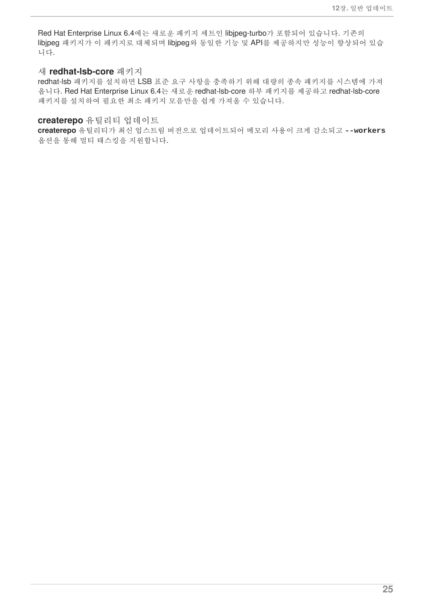Red Hat Enterprise Linux 6.4에는 새로운 패키지 세트인 libjpeg-turbo가 포함되어 있습니다. 기존의 libjpeg 패키지가 이 패키지로 대체되며 libjpeg와 동일한 기능 및 API를 제공하지만 성능이 향상되어 있습 니다.

#### <span id="page-28-0"></span>새 **redhat-lsb-core** 패키지

redhat-lsb 패키지를 설치하면 LSB 표준 요구 사항을 충족하기 위해 대량의 종속 패키지를 시스템에 가져 옵니다. Red Hat Enterprise Linux 6.4는 새로운 redhat-lsb-core 하부 패키지를 제공하고 redhat-lsb-core 패키지를 설치하여 필요한 최소 패키지 모음만을 쉽게 가져올 수 있습니다.

#### <span id="page-28-1"></span>**createrepo** 유틸리티 업데이트

**createrepo** 유틸리티가 최신 업스트림 버전으로 업데이트되어 메모리 사용이 크게 감소되고 **--workers** 옵션을 통해 멀티 태스킹을 지원합니다.